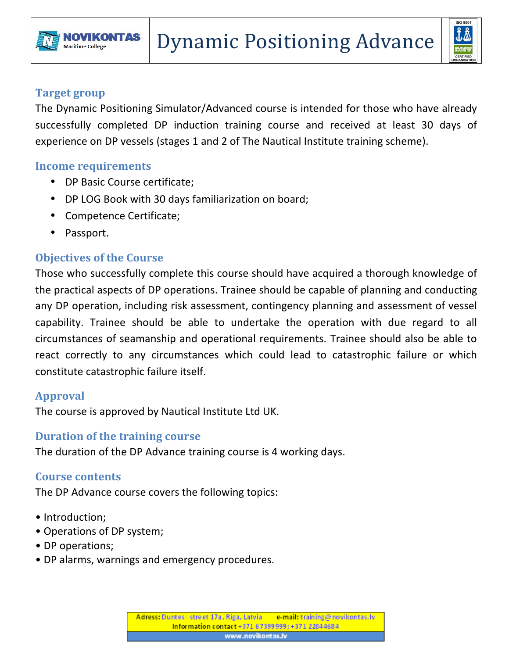



#### **Target group**

The Dynamic Positioning Simulator/Advanced course is intended for those who have already successfully completed DP induction training course and received at least 30 days of experience on DP vessels (stages 1 and 2 of The Nautical Institute training scheme).

#### **Income requirements**

- DP Basic Course certificate;
- DP LOG Book with 30 days familiarization on board;
- Competence Certificate;
- Passport.

# **Objectives of the Course**

Those who successfully complete this course should have acquired a thorough knowledge of the practical aspects of DP operations. Trainee should be capable of planning and conducting any DP operation, including risk assessment, contingency planning and assessment of vessel capability. Trainee should be able to undertake the operation with due regard to all circumstances of seamanship and operational requirements. Trainee should also be able to react correctly to any circumstances which could lead to catastrophic failure or which constitute catastrophic failure itself.

## **Approval**

The course is approved by Nautical Institute Ltd UK.

## **Duration of the training course**

The duration of the DP Advance training course is 4 working days.

## **Course contents**

The DP Advance course covers the following topics:

- Introduction;
- Operations of DP system;
- DP operations;
- DP alarms, warnings and emergency procedures.